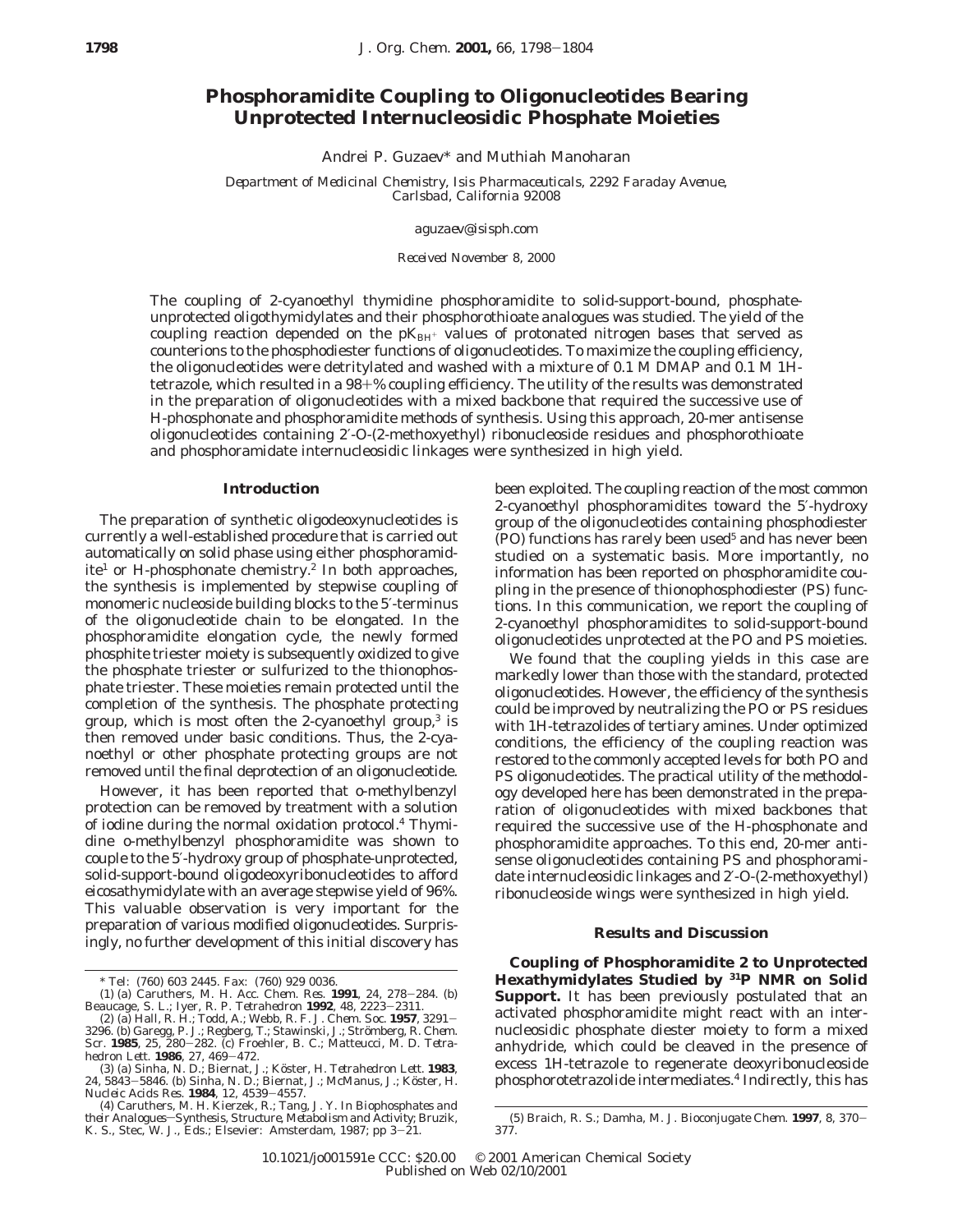# **Phosphoramidite Coupling to Oligonucleotides Bearing Unprotected Internucleosidic Phosphate Moieties**

Andrei P. Guzaev\* and Muthiah Manoharan

*Department of Medicinal Chemistry, Isis Pharmaceuticals, 2292 Faraday Avenue, Carlsbad, California 92008*

*aguzaev@isisph.com*

*Received November 8, 2000*

The coupling of 2-cyanoethyl thymidine phosphoramidite to solid-support-bound, phosphateunprotected oligothymidylates and their phosphorothioate analogues was studied. The yield of the coupling reaction depended on the  $pK_{\text{BH}^+}$  values of protonated nitrogen bases that served as counterions to the phosphodiester functions of oligonucleotides. To maximize the coupling efficiency, the oligonucleotides were detritylated and washed with a mixture of 0.1 M DMAP and 0.1 M 1*H*tetrazole, which resulted in a 98+% coupling efficiency. The utility of the results was demonstrated in the preparation of oligonucleotides with a mixed backbone that required the successive use of *H*-phosphonate and phosphoramidite methods of synthesis. Using this approach, 20-mer antisense oligonucleotides containing 2′-*O*-(2-methoxyethyl) ribonucleoside residues and phosphorothioate and phosphoramidate internucleosidic linkages were synthesized in high yield.

### **Introduction**

The preparation of synthetic oligodeoxynucleotides is currently a well-established procedure that is carried out automatically on solid phase using either phosphoramidite<sup>1</sup> or *H*-phosphonate chemistry.<sup>2</sup> In both approaches, the synthesis is implemented by stepwise coupling of monomeric nucleoside building blocks to the 5′-terminus of the oligonucleotide chain to be elongated. In the phosphoramidite elongation cycle, the newly formed phosphite triester moiety is subsequently oxidized to give the phosphate triester or sulfurized to the thionophosphate triester. These moieties remain protected until the completion of the synthesis. The phosphate protecting group, which is most often the 2-cyanoethyl group, $3$  is then removed under basic conditions. Thus, the 2-cyanoethyl or other phosphate protecting groups are not removed until the final deprotection of an oligonucleotide.

However, it has been reported that *o*-methylbenzyl protection can be removed by treatment with a solution of iodine during the normal oxidation protocol.4 Thymidine *o*-methylbenzyl phosphoramidite was shown to couple to the 5′-hydroxy group of phosphate-unprotected, solid-support-bound oligodeoxyribonucleotides to afford eicosathymidylate with an average stepwise yield of 96%. This valuable observation is very important for the preparation of various modified oligonucleotides. Surprisingly, no further development of this initial discovery has been exploited. The coupling reaction of the most common 2-cyanoethyl phosphoramidites toward the 5′-hydroxy group of the oligonucleotides containing phosphodiester (PO) functions has rarely been used<sup>5</sup> and has never been studied on a systematic basis. More importantly, no information has been reported on phosphoramidite coupling in the presence of thionophosphodiester (PS) functions. In this communication, we report the coupling of 2-cyanoethyl phosphoramidites to solid-support-bound oligonucleotides unprotected at the PO and PS moieties.

We found that the coupling yields in this case are markedly lower than those with the standard, protected oligonucleotides. However, the efficiency of the synthesis could be improved by neutralizing the PO or PS residues with 1*H*-tetrazolides of tertiary amines. Under optimized conditions, the efficiency of the coupling reaction was restored to the commonly accepted levels for both PO and PS oligonucleotides. The practical utility of the methodology developed here has been demonstrated in the preparation of oligonucleotides with mixed backbones that required the successive use of the *H*-phosphonate and phosphoramidite approaches. To this end, 20-mer antisense oligonucleotides containing PS and phosphoramidate internucleosidic linkages and 2′-*O*-(2-methoxyethyl) ribonucleoside wings were synthesized in high yield.

#### **Results and Discussion**

**Coupling of Phosphoramidite 2 to Unprotected Hexathymidylates Studied by 31P NMR on Solid Support.** It has been previously postulated that an activated phosphoramidite might react with an internucleosidic phosphate diester moiety to form a mixed anhydride, which could be cleaved in the presence of excess 1*H*-tetrazole to regenerate deoxyribonucleoside phosphorotetrazolide intermediates.4 Indirectly, this has

<sup>\*</sup> Tel: (760) 603 2445. Fax: (760) 929 0036.

<sup>(1) (</sup>a) Caruthers, M. H. *Acc. Chem. Res*. **<sup>1991</sup>**, *<sup>24</sup>*, 278-284. (b) Beaucage, S. L.; Iyer, R. P. *Tetrahedron* **<sup>1992</sup>**, *<sup>48</sup>*, 2223-2311.

<sup>(2) (</sup>a) Hall, R. H.; Todd, A.; Webb, R. F. *J. Chem. Soc.* **1957**, 3291–3296. (b) Garegg, P. J.; Regberg, T.; Stawinski, J.; Strömberg, R. *Chem. Soc.* **1985**, *25.* 280–282. (c) Froehler, B. C.; Matteucci, M. D. *Tetra-he* 

*hedron Lett.* **<sup>1986</sup>**, *<sup>27</sup>*, 469-472. (3) (a) Sinha, N. D.; Biernat, J.; Ko¨ster, H. *Tetrahedron Lett*. **1983**, *24*, 5843–5846. (b) Sinha, N. D.; Biernat, J.; McManus, J.; Köster, H.<br>*Nucleic Acids Res*. **1984**, *12*, 4539–4557.<br>(4) Caruthers, M. H. Kierzek, R.; Tang, J. Y. In *Biophosphates and* 

their Analogues-Synthesis, Structure, Metabolism and Activity; Bruzik, K. S., Stec, W. J., Eds.; Elsevier: Amsterdam, 1987; pp 3-21.

<sup>(5)</sup> Braich, R. S.; Damha, M. J. *Bioconjugate Chem.* **<sup>1997</sup>**, *<sup>8</sup>*, 370- 377.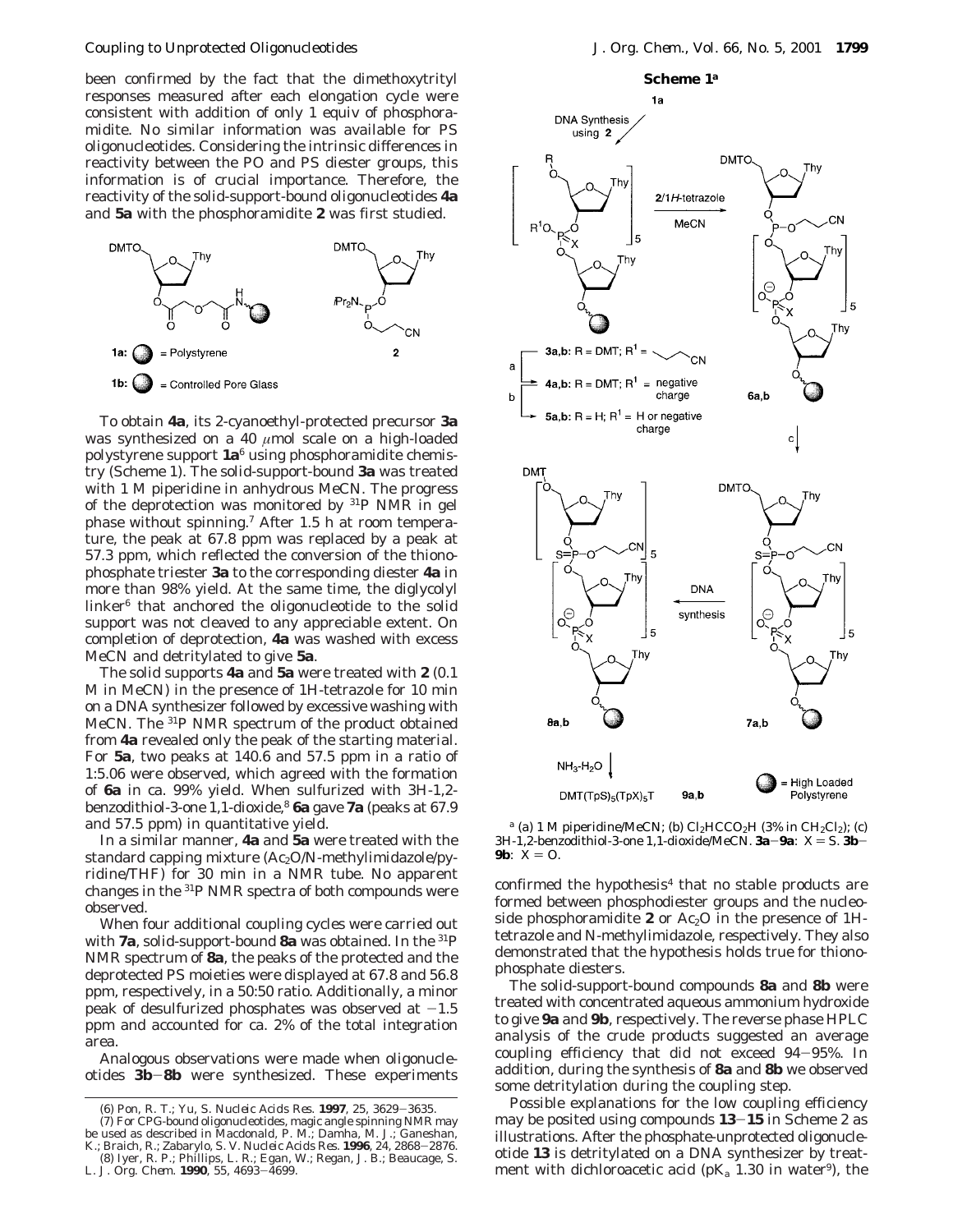been confirmed by the fact that the dimethoxytrityl responses measured after each elongation cycle were consistent with addition of only 1 equiv of phosphoramidite. No similar information was available for PS oligonucleotides. Considering the intrinsic differences in reactivity between the PO and PS diester groups, this information is of crucial importance. Therefore, the reactivity of the solid-support-bound oligonucleotides **4a** and **5a** with the phosphoramidite **2** was first studied.



To obtain **4a**, its 2-cyanoethyl-protected precursor **3a** was synthesized on a 40  $\mu$ mol scale on a high-loaded polystyrene support **1a**<sup>6</sup> using phosphoramidite chemistry (Scheme 1). The solid-support-bound **3a** was treated with 1 M piperidine in anhydrous MeCN. The progress of the deprotection was monitored by 31P NMR in gel phase without spinning.7 After 1.5 h at room temperature, the peak at 67.8 ppm was replaced by a peak at 57.3 ppm, which reflected the conversion of the thionophosphate triester **3a** to the corresponding diester **4a** in more than 98% yield. At the same time, the diglycolyl linker6 that anchored the oligonucleotide to the solid support was not cleaved to any appreciable extent. On completion of deprotection, **4a** was washed with excess MeCN and detritylated to give **5a**.

The solid supports **4a** and **5a** were treated with **2** (0.1 M in MeCN) in the presence of 1*H*-tetrazole for 10 min on a DNA synthesizer followed by excessive washing with MeCN. The 31P NMR spectrum of the product obtained from **4a** revealed only the peak of the starting material. For **5a**, two peaks at 140.6 and 57.5 ppm in a ratio of 1:5.06 were observed, which agreed with the formation of **6a** in ca. 99% yield. When sulfurized with 3*H*-1,2 benzodithiol-3-one 1,1-dioxide,8 **6a** gave **7a** (peaks at 67.9 and 57.5 ppm) in quantitative yield.

In a similar manner, **4a** and **5a** were treated with the standard capping mixture (Ac<sub>2</sub>O/*N*-methylimidazole/pyridine/THF) for 30 min in a NMR tube. No apparent changes in the 31P NMR spectra of both compounds were observed.

When four additional coupling cycles were carried out with **7a**, solid-support-bound **8a** was obtained. In the 31P NMR spectrum of **8a**, the peaks of the protected and the deprotected PS moieties were displayed at 67.8 and 56.8 ppm, respectively, in a 50:50 ratio. Additionally, a minor peak of desulfurized phosphates was observed at  $-1.5$ ppm and accounted for ca. 2% of the total integration area.

Analogous observations were made when oligonucleotides **3b**-**8b** were synthesized. These experiments



 $a$  (a) 1 M piperidine/MeCN; (b)  $Cl<sub>2</sub>HCCO<sub>2</sub>H$  (3% in  $CH<sub>2</sub>Cl<sub>2</sub>$ ); (c)  $3H-1,2$ -benzodithiol-3-one 1,1-dioxide/MeCN.  $3a-9a$ :  $X = S$ .  $3b-$ **9b**:  $X = 0$ .

confirmed the hypothesis $4$  that no stable products are formed between phosphodiester groups and the nucleoside phosphoramidite **2** or Ac<sub>2</sub>O in the presence of  $1H$ tetrazole and *N*-methylimidazole, respectively. They also demonstrated that the hypothesis holds true for thionophosphate diesters.

The solid-support-bound compounds **8a** and **8b** were treated with concentrated aqueous ammonium hydroxide to give **9a** and **9b**, respectively. The reverse phase HPLC analysis of the crude products suggested an average coupling efficiency that did not exceed 94-95%. In addition, during the synthesis of **8a** and **8b** we observed some detritylation during the coupling step.

Possible explanations for the low coupling efficiency may be posited using compounds **<sup>13</sup>**-**<sup>15</sup>** in Scheme 2 as illustrations. After the phosphate-unprotected oligonucleotide **13** is detritylated on a DNA synthesizer by treatment with dichloroacetic acid ( $pK_a$  1.30 in water<sup>9</sup>), the

<sup>(6)</sup> Pon, R. T.; Yu, S. *Nucleic Acids Res*. **<sup>1997</sup>**, *<sup>25</sup>*, 3629-3635. (7) For CPG-bound oligonucleotides, magic angle spinning NMR may

be used as described in Macdonald, P. M.; Damha, M. J.; Ganeshan, K.; Braich, R.; Zabarylo, S. V. Nucleic Acids Res. 1996, 24, 2868–2876. K.; Braich, R.; Zabarylo, S. V. *Nucleic Acids Res.* **<sup>1996</sup>**, *<sup>24</sup>*, 2868-2876. (8) Iyer, R. P.; Phillips, L. R.; Egan, W.; Regan, J. B.; Beaucage, S. L. *J. Org. Chem.* **<sup>1990</sup>**, *<sup>55</sup>*, 4693-4699.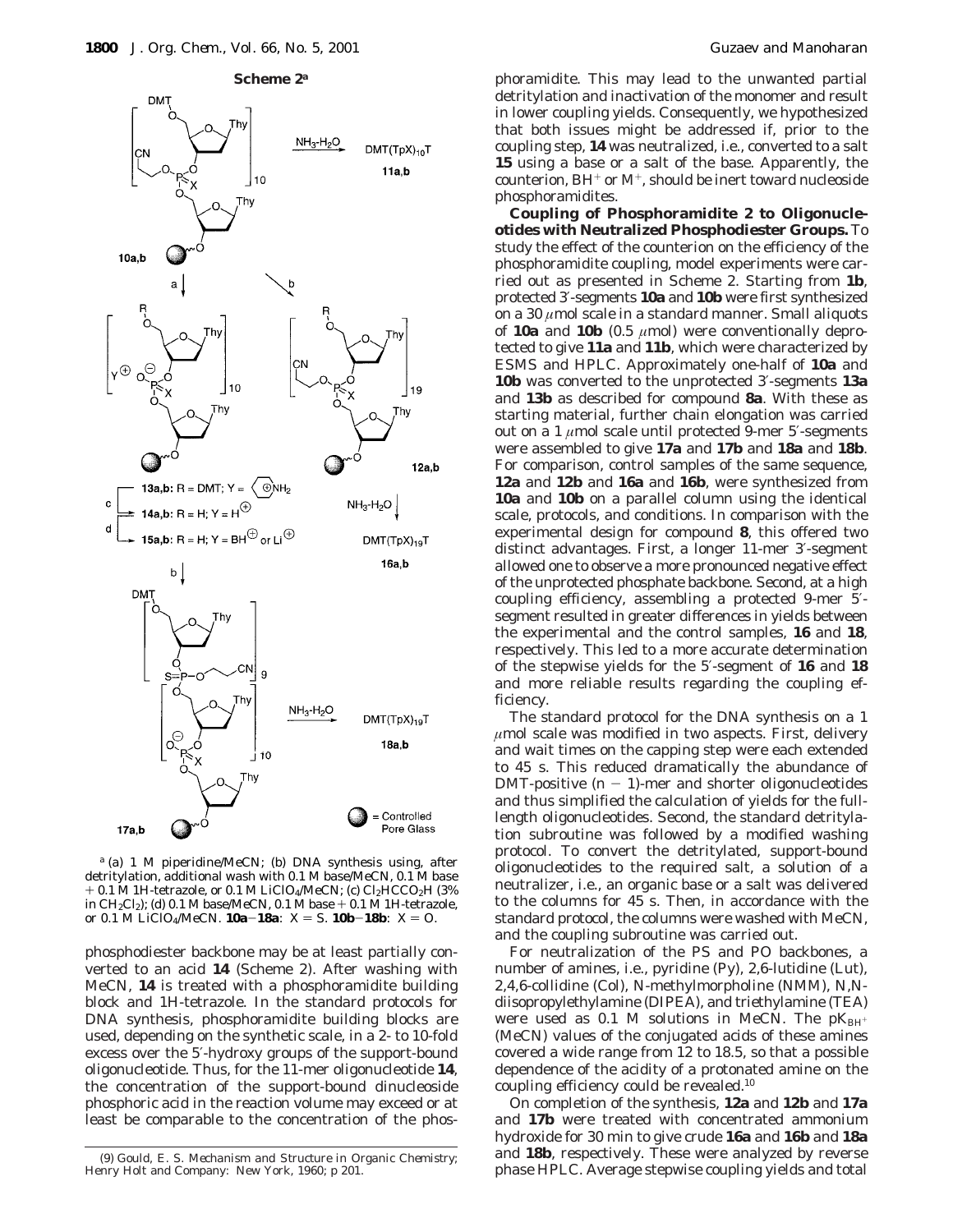





*<sup>a</sup>* (a) 1 M piperidine/MeCN; (b) DNA synthesis using, after detritylation, additional wash with 0.1 M base/MeCN, 0.1 M base  $+$  0.1 M 1*H*-tetrazole, or 0.1 M LiClO<sub>4</sub>/MeCN; (c) Cl<sub>2</sub>HCCO<sub>2</sub>H (3%) in CH<sub>2</sub>Cl<sub>2</sub>); (d) 0.1 M base/MeCN, 0.1 M base  $+$  0.1 M 1*H*-tetrazole, or 0.1 M LiClO<sub>4</sub>/MeCN. **10a-18a**:  $X = S$ . **10b-18b**:  $X = O$ .

phosphodiester backbone may be at least partially converted to an acid **14** (Scheme 2). After washing with MeCN, **14** is treated with a phosphoramidite building block and 1*H*-tetrazole. In the standard protocols for DNA synthesis, phosphoramidite building blocks are used, depending on the synthetic scale, in a 2- to 10-fold excess over the 5′-hydroxy groups of the support-bound oligonucleotide. Thus, for the 11-mer oligonucleotide **14**, the concentration of the support-bound dinucleoside phosphoric acid in the reaction volume may exceed or at least be comparable to the concentration of the phosphoramidite. This may lead to the unwanted partial detritylation and inactivation of the monomer and result in lower coupling yields. Consequently, we hypothesized that both issues might be addressed if, prior to the coupling step, **14** was neutralized, i.e., converted to a salt **15** using a base or a salt of the base. Apparently, the counterion,  $BH^+$  or  $M^+$ , should be inert toward nucleoside phosphoramidites.

**Coupling of Phosphoramidite 2 to Oligonucleotides with Neutralized Phosphodiester Groups.** To study the effect of the counterion on the efficiency of the phosphoramidite coupling, model experiments were carried out as presented in Scheme 2. Starting from **1b**, protected 3′-segments **10a** and **10b** were first synthesized on a 30 *µ*mol scale in a standard manner. Small aliquots of **10a** and **10b** (0.5  $\mu$ mol) were conventionally deprotected to give **11a** and **11b**, which were characterized by ESMS and HPLC. Approximately one-half of **10a** and **10b** was converted to the unprotected 3′-segments **13a** and **13b** as described for compound **8a**. With these as starting material, further chain elongation was carried out on a 1 *µ*mol scale until protected 9-mer 5′-segments were assembled to give **17a** and **17b** and **18a** and **18b**. For comparison, control samples of the same sequence, **12a** and **12b** and **16a** and **16b**, were synthesized from **10a** and **10b** on a parallel column using the identical scale, protocols, and conditions. In comparison with the experimental design for compound **8**, this offered two distinct advantages. First, a longer 11-mer 3′-segment allowed one to observe a more pronounced negative effect of the unprotected phosphate backbone. Second, at a high coupling efficiency, assembling a protected 9-mer 5′ segment resulted in greater differences in yields between the experimental and the control samples, **16** and **18**, respectively. This led to a more accurate determination of the stepwise yields for the 5′-segment of **16** and **18** and more reliable results regarding the coupling efficiency.

The standard protocol for the DNA synthesis on a 1 *µ*mol scale was modified in two aspects. First, delivery and wait times on the capping step were each extended to 45 s. This reduced dramatically the abundance of DMT-positive  $(n - 1)$ -mer and shorter oligonucleotides and thus simplified the calculation of yields for the fulllength oligonucleotides. Second, the standard detritylation subroutine was followed by a modified washing protocol. To convert the detritylated, support-bound oligonucleotides to the required salt, a solution of a neutralizer, i.e., an organic base or a salt was delivered to the columns for 45 s. Then, in accordance with the standard protocol, the columns were washed with MeCN, and the coupling subroutine was carried out.

For neutralization of the PS and PO backbones, a number of amines, i.e., pyridine (Py), 2,6-lutidine (Lut), 2,4,6-collidine (Col), *N*-methylmorpholine (NMM), *N*,*N*diisopropylethylamine (DIPEA), and triethylamine (TEA) were used as 0.1 M solutions in MeCN. The  $pK_{BH^+}$ (MeCN) values of the conjugated acids of these amines covered a wide range from 12 to 18.5, so that a possible dependence of the acidity of a protonated amine on the coupling efficiency could be revealed.10

On completion of the synthesis, **12a** and **12b** and **17a** and **17b** were treated with concentrated ammonium hydroxide for 30 min to give crude **16a** and **16b** and **18a** and **18b**, respectively. These were analyzed by reverse phase HPLC. Average stepwise coupling yields and total (9) Gould, E. S. *Mechanism and Structure in Organic Chemistry*;

Henry Holt and Company: New York, 1960; p 201.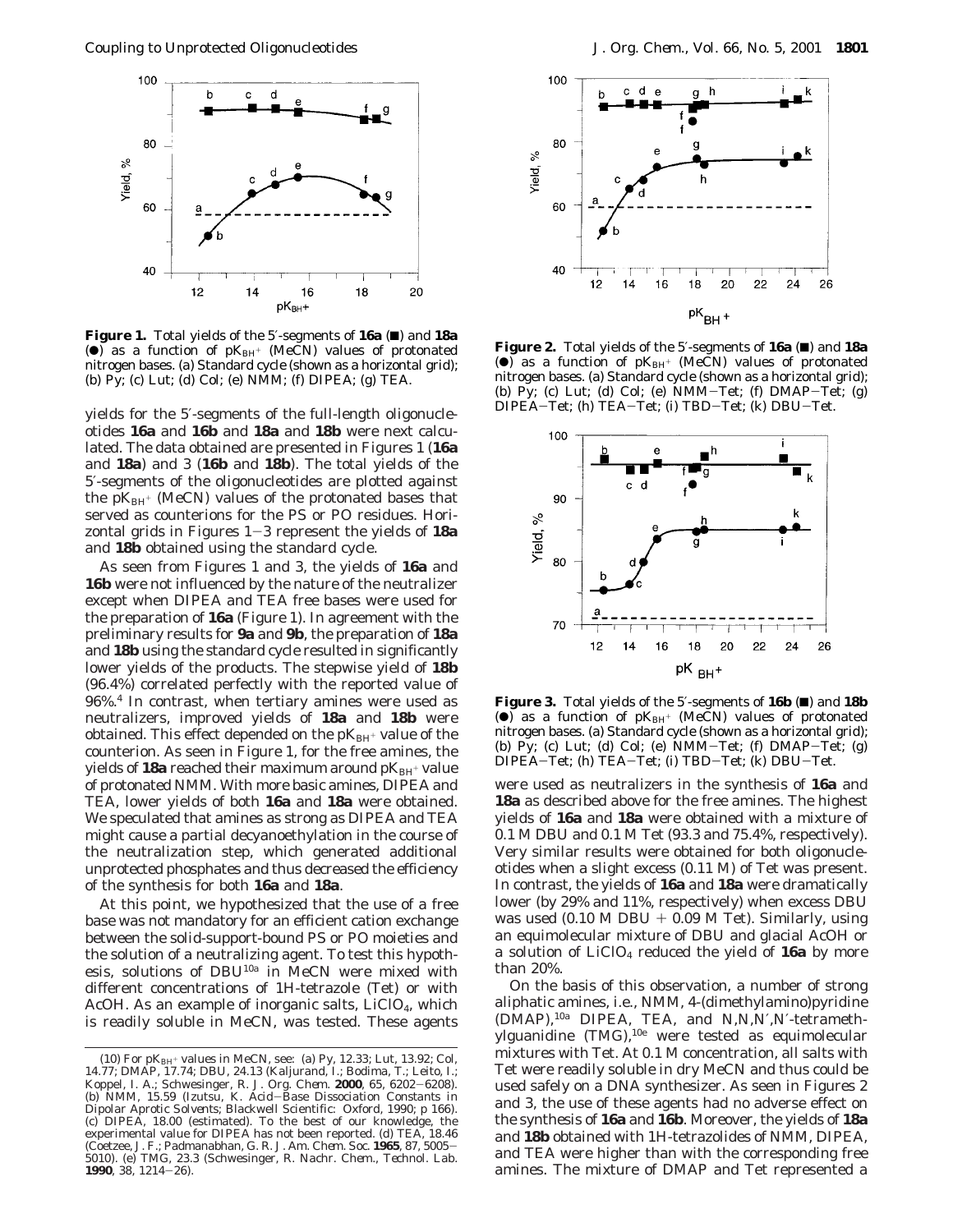

**Figure 1.** Total yields of the 5′-segments of **16a** (■) and **18a** ( $\bullet$ ) as a function of  $pK_{BH^+}$  (MeCN) values of protonated nitrogen bases. (a) Standard cycle (shown as a horizontal grid); (b) Py; (c) Lut; (d) Col; (e) NMM; (f) DIPEA; (g) TEA.

yields for the 5′-segments of the full-length oligonucleotides **16a** and **16b** and **18a** and **18b** were next calculated. The data obtained are presented in Figures 1 (**16a** and **18a**) and 3 (**16b** and **18b**). The total yields of the 5′-segments of the oligonucleotides are plotted against the  $pK_{BH^+}$  (MeCN) values of the protonated bases that served as counterions for the PS or PO residues. Horizontal grids in Figures 1-3 represent the yields of **18a** and **18b** obtained using the standard cycle.

As seen from Figures 1 and 3, the yields of **16a** and **16b** were not influenced by the nature of the neutralizer except when DIPEA and TEA free bases were used for the preparation of **16a** (Figure 1). In agreement with the preliminary results for **9a** and **9b**, the preparation of **18a** and **18b** using the standard cycle resulted in significantly lower yields of the products. The stepwise yield of **18b** (96.4%) correlated perfectly with the reported value of 96%.4 In contrast, when tertiary amines were used as neutralizers, improved yields of **18a** and **18b** were obtained. This effect depended on the  $pK_{BH^+}$  value of the counterion. As seen in Figure 1, for the free amines, the yields of 18a reached their maximum around  $pK_{BH^+}$  value of protonated NMM. With more basic amines, DIPEA and TEA, lower yields of both **16a** and **18a** were obtained. We speculated that amines as strong as DIPEA and TEA might cause a partial decyanoethylation in the course of the neutralization step, which generated additional unprotected phosphates and thus decreased the efficiency of the synthesis for both **16a** and **18a**.

At this point, we hypothesized that the use of a free base was not mandatory for an efficient cation exchange between the solid-support-bound PS or PO moieties and the solution of a neutralizing agent. To test this hypothesis, solutions of DBU10a in MeCN were mixed with different concentrations of 1*H*-tetrazole (Tet) or with AcOH. As an example of inorganic salts,  $LiClO<sub>4</sub>$ , which is readily soluble in MeCN, was tested. These agents



**Figure 2.** Total yields of the 5′-segments of **16a** (9) and **18a** ( $\bullet$ ) as a function of  $pK_{BH^+}$  (MeCN) values of protonated nitrogen bases. (a) Standard cycle (shown as a horizontal grid); (b) Py; (c) Lut; (d) Col; (e) NMM-Tet; (f) DMAP-Tet; (g) DIPEA-Tet; (h) TEA-Tet; (i) TBD-Tet; (k) DBU-Tet.



**Figure 3.** Total yields of the 5′-segments of **16b** (9) and **18b** (<sup>o</sup>) as a function of  $pK_{BH^+}$  (MeCN) values of protonated nitrogen bases. (a) Standard cycle (shown as a horizontal grid); (b) Py; (c) Lut; (d) Col; (e)  $NMM-Tet$ ; (f)  $DMAP-Tet$ ; (g) DIPEA-Tet; (h) TEA-Tet; (i) TBD-Tet; (k) DBU-Tet.

were used as neutralizers in the synthesis of **16a** and **18a** as described above for the free amines. The highest yields of **16a** and **18a** were obtained with a mixture of 0.1 M DBU and 0.1 M Tet (93.3 and 75.4%, respectively). Very similar results were obtained for both oligonucleotides when a slight excess (0.11 M) of Tet was present. In contrast, the yields of **16a** and **18a** were dramatically lower (by 29% and 11%, respectively) when excess DBU was used  $(0.10 M DBU + 0.09 M Tet)$ . Similarly, using an equimolecular mixture of DBU and glacial AcOH or a solution of LiClO4 reduced the yield of **16a** by more than 20%.

On the basis of this observation, a number of strong aliphatic amines, i.e., NMM, 4-(dimethylamino)pyridine (DMAP),10a DIPEA, TEA, and *N*,*N,N*′*,N*′-tetramethylguanidine (TMG),10e were tested as equimolecular mixtures with Tet. At 0.1 M concentration, all salts with Tet were readily soluble in dry MeCN and thus could be used safely on a DNA synthesizer. As seen in Figures 2 and 3, the use of these agents had no adverse effect on the synthesis of **16a** and **16b**. Moreover, the yields of **18a** and **18b** obtained with 1*H*-tetrazolides of NMM, DIPEA, and TEA were higher than with the corresponding free amines. The mixture of DMAP and Tet represented a

<sup>(10)</sup> For p*K*BH<sup>+</sup> values in MeCN, see: (a) Py, 12.33; Lut, 13.92; Col, 14.77; DMAP, 17.74; DBU, 24.13 (Kaljurand, I.; Bodima, T.; Leito, I.; Koppel, I. A.; Schwesinger, R. *J. Org. Chem*. **<sup>2000</sup>**, *<sup>65</sup>*, 6202-6208). (b) NMM, 15.59 (Izutsu, K. *Acid*-*Base Dissociation Constants in Dipolar Aprotic Solvents*; Blackwell Scientific: Oxford, 1990; p 166). (c) DIPEA, 18.00 (estimated). To the best of our knowledge, the experimental value for DIPEA has not been reported. (d) TEA, 18.46 (Coetzee, J. F.; Padmanabhan, G. R. *J. Am. Chem. Soc*. **<sup>1965</sup>**, *<sup>87</sup>*, 5005- 5010). (e) TMG, 23.3 (Schwesinger, R. *Nachr. Chem., Technol. Lab*. **<sup>1990</sup>**, *<sup>38</sup>*, 1214-26).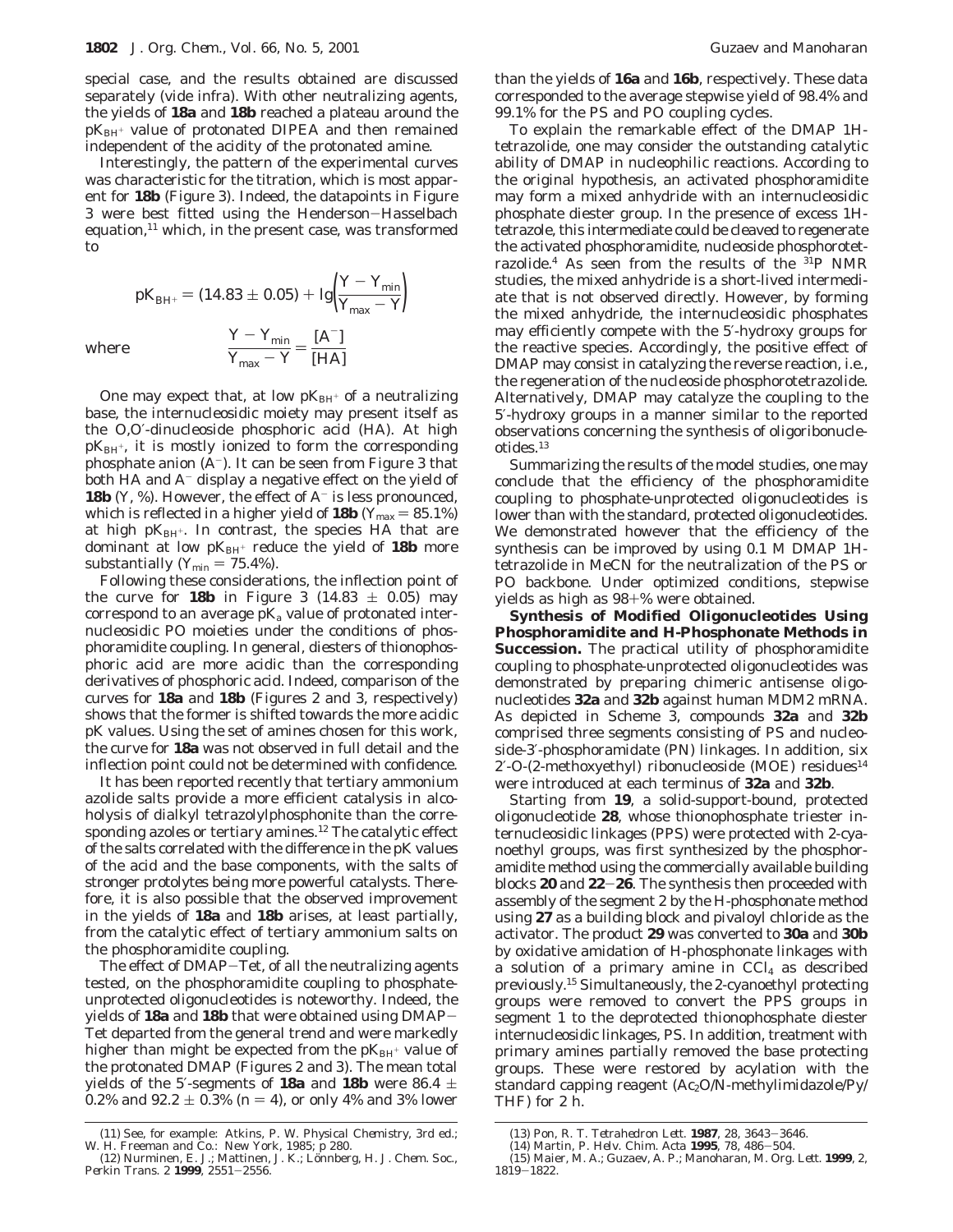special case, and the results obtained are discussed separately (vide infra). With other neutralizing agents, the yields of **18a** and **18b** reached a plateau around the  $pK_{BH}$  value of protonated DIPEA and then remained independent of the acidity of the protonated amine.

Interestingly, the pattern of the experimental curves was characteristic for the titration, which is most apparent for **18b** (Figure 3). Indeed, the datapoints in Figure 3 were best fitted using the Henderson-Hasselbach equation, $11$  which, in the present case, was transformed to

$$
pK_{\text{BH}^{+}} = (14.83 \pm 0.05) + \lg \left( \frac{Y - Y_{\text{min}}}{Y_{\text{max}} - Y} \right)
$$

$$
\frac{Y - Y_{\text{min}}}{Y_{\text{max}} - Y} = \frac{[A^{-}]}{[HA]}
$$

where

One may expect that, at low  $pK_{BH^+}$  of a neutralizing base, the internucleosidic moiety may present itself as the *O*,*O*′-dinucleoside phosphoric acid (HA). At high  $pK_{BH}$ <sup>+</sup>, it is mostly ionized to form the corresponding phosphate anion  $(A^-)$ . It can be seen from Figure 3 that both HA and  $A^-$  display a negative effect on the yield of **18b**  $(Y, \mathcal{X})$ . However, the effect of  $A^-$  is less pronounced, which is reflected in a higher yield of **18b** ( $Y_{\text{max}} = 85.1\%$ ) at high pK<sub>BH<sup>+</sup></sub>. In contrast, the species HA that are dominant at low  $pK_{BH^+}$  reduce the yield of 18b more substantially ( $Y_{\text{min}} = 75.4\%$ ).

Following these considerations, the inflection point of the curve for **18b** in Figure 3 (14.83  $\pm$  0.05) may correspond to an average  $pK_a$  value of protonated internucleosidic PO moieties under the conditions of phosphoramidite coupling. In general, diesters of thionophosphoric acid are more acidic than the corresponding derivatives of phosphoric acid. Indeed, comparison of the curves for **18a** and **18b** (Figures 2 and 3, respectively) shows that the former is shifted towards the more acidic p*K* values. Using the set of amines chosen for this work, the curve for **18a** was not observed in full detail and the inflection point could not be determined with confidence.

It has been reported recently that tertiary ammonium azolide salts provide a more efficient catalysis in alcoholysis of dialkyl tetrazolylphosphonite than the corresponding azoles or tertiary amines.<sup>12</sup> The catalytic effect of the salts correlated with the difference in the p*K* values of the acid and the base components, with the salts of stronger protolytes being more powerful catalysts. Therefore, it is also possible that the observed improvement in the yields of **18a** and **18b** arises, at least partially, from the catalytic effect of tertiary ammonium salts on the phosphoramidite coupling.

The effect of DMAP-Tet, of all the neutralizing agents tested, on the phosphoramidite coupling to phosphateunprotected oligonucleotides is noteworthy. Indeed, the yields of **18a** and **18b** that were obtained using DMAP-Tet departed from the general trend and were markedly higher than might be expected from the  $pK_{BH^+}$  value of the protonated DMAP (Figures 2 and 3). The mean total yields of the 5'-segments of **18a** and **18b** were 86.4  $\pm$ 0.2% and  $92.2 \pm 0.3$ % ( $n = 4$ ), or only 4% and 3% lower

than the yields of **16a** and **16b**, respectively. These data corresponded to the average stepwise yield of 98.4% and 99.1% for the PS and PO coupling cycles.

To explain the remarkable effect of the DMAP 1*H*tetrazolide, one may consider the outstanding catalytic ability of DMAP in nucleophilic reactions. According to the original hypothesis, an activated phosphoramidite may form a mixed anhydride with an internucleosidic phosphate diester group. In the presence of excess 1*H*tetrazole, this intermediate could be cleaved to regenerate the activated phosphoramidite, nucleoside phosphorotetrazolide.<sup>4</sup> As seen from the results of the <sup>31</sup>P NMR studies, the mixed anhydride is a short-lived intermediate that is not observed directly. However, by forming the mixed anhydride, the internucleosidic phosphates may efficiently compete with the 5′-hydroxy groups for the reactive species. Accordingly, the positive effect of DMAP may consist in catalyzing the reverse reaction, i.e., the regeneration of the nucleoside phosphorotetrazolide. Alternatively, DMAP may catalyze the coupling to the 5′-hydroxy groups in a manner similar to the reported observations concerning the synthesis of oligoribonucleotides.13

Summarizing the results of the model studies, one may conclude that the efficiency of the phosphoramidite coupling to phosphate-unprotected oligonucleotides is lower than with the standard, protected oligonucleotides. We demonstrated however that the efficiency of the synthesis can be improved by using 0.1 M DMAP 1*H*tetrazolide in MeCN for the neutralization of the PS or PO backbone. Under optimized conditions, stepwise yields as high as 98+% were obtained.

**Synthesis of Modified Oligonucleotides Using Phosphoramidite and H-Phosphonate Methods in Succession.** The practical utility of phosphoramidite coupling to phosphate-unprotected oligonucleotides was demonstrated by preparing chimeric antisense oligonucleotides **32a** and **32b** against human MDM2 mRNA. As depicted in Scheme 3, compounds **32a** and **32b** comprised three segments consisting of PS and nucleoside-3′-phosphoramidate (PN) linkages. In addition, six 2'-*O*-(2-methoxyethyl) ribonucleoside (MOE) residues<sup>14</sup> were introduced at each terminus of **32a** and **32b**.

Starting from **19**, a solid-support-bound, protected oligonucleotide **28**, whose thionophosphate triester internucleosidic linkages (PPS) were protected with 2-cyanoethyl groups, was first synthesized by the phosphoramidite method using the commercially available building blocks **<sup>20</sup>** and **<sup>22</sup>**-**26**. The synthesis then proceeded with assembly of the segment 2 by the *H*-phosphonate method using **27** as a building block and pivaloyl chloride as the activator. The product **29** was converted to **30a** and **30b** by oxidative amidation of *H*-phosphonate linkages with a solution of a primary amine in  $CCl<sub>4</sub>$  as described previously.15 Simultaneously, the 2-cyanoethyl protecting groups were removed to convert the PPS groups in segment 1 to the deprotected thionophosphate diester internucleosidic linkages, PS. In addition, treatment with primary amines partially removed the base protecting groups. These were restored by acylation with the standard capping reagent (Ac<sub>2</sub>O/*N*-methylimidazole/Py/ THF) for 2 h.

<sup>(11)</sup> See, for example: Atkins, P. W. *Physical Chemistry*, 3rd ed.; W. H. Freeman and Co.: New York, 1985; p 280.

<sup>(12)</sup> Nurminen, E. J.; Mattinen, J. K.; Lo¨nnberg, H. *J. Chem. Soc., Perkin Trans. 2* **<sup>1999</sup>**, 2551-2556.

<sup>(13)</sup> Pon, R. T. *Tetrahedron Lett*. **<sup>1987</sup>**, *<sup>28</sup>*, 3643-3646. (14) Martin, P. *Helv. Chim. Acta* **<sup>1995</sup>**, *<sup>78</sup>*, 486-504.

<sup>(15)</sup> Maier, M. A.; Guzaev, A. P.; Manoharan, M. *Org. Lett.* **1999**, *2*, <sup>1819</sup>-1822.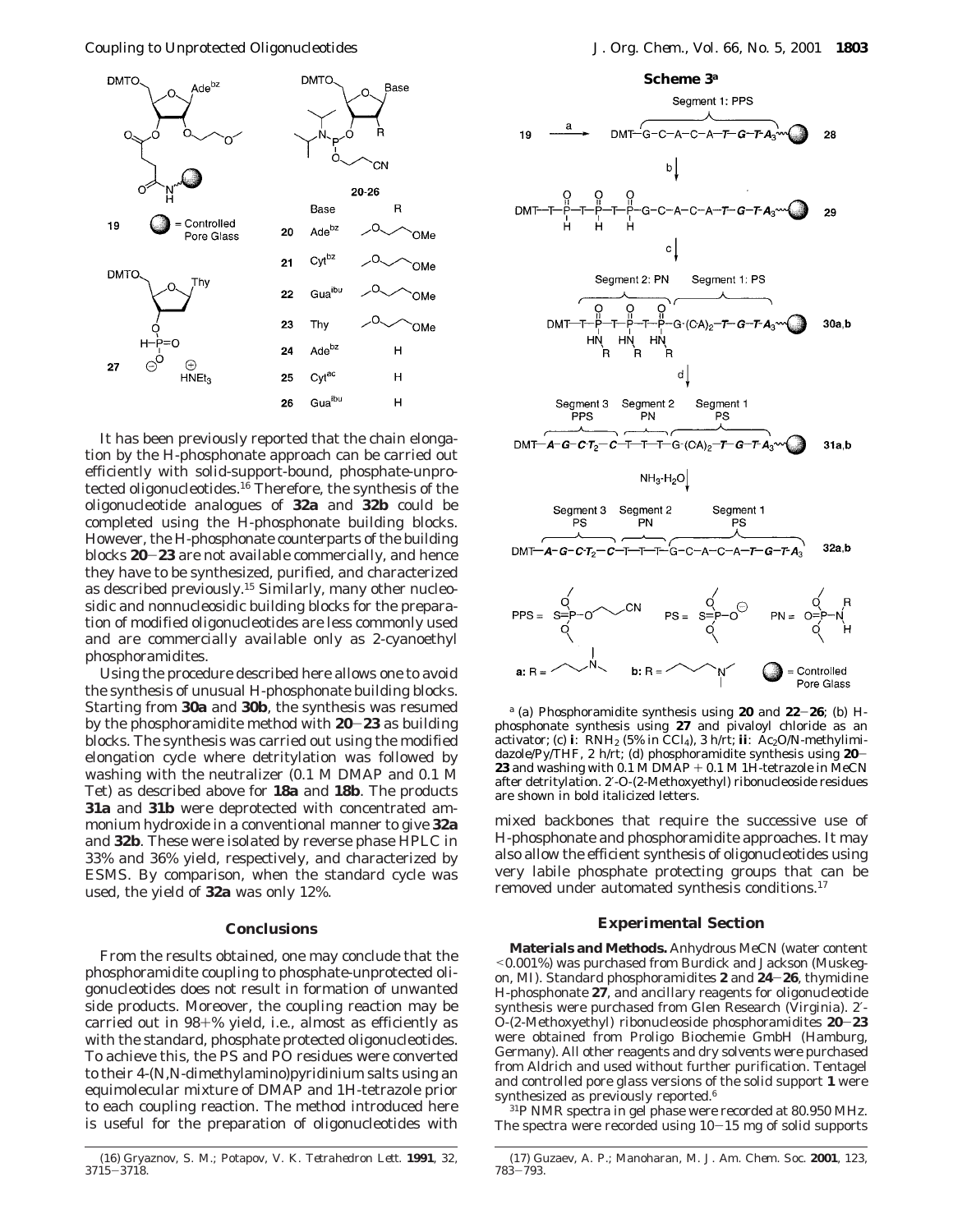Coupling to Unprotected Oligonucleotides *J. Org. Chem., Vol. 66, No. 5, 2001* **1803**



It has been previously reported that the chain elongation by the *H*-phosphonate approach can be carried out efficiently with solid-support-bound, phosphate-unprotected oligonucleotides.16 Therefore, the synthesis of the oligonucleotide analogues of **32a** and **32b** could be completed using the *H*-phosphonate building blocks. However, the *H*-phosphonate counterparts of the building blocks **<sup>20</sup>**-**<sup>23</sup>** are not available commercially, and hence they have to be synthesized, purified, and characterized as described previously.15 Similarly, many other nucleosidic and nonnucleosidic building blocks for the preparation of modified oligonucleotides are less commonly used and are commercially available only as 2-cyanoethyl phosphoramidites.

Using the procedure described here allows one to avoid the synthesis of unusual *H*-phosphonate building blocks. Starting from **30a** and **30b**, the synthesis was resumed by the phosphoramidite method with **<sup>20</sup>**-**<sup>23</sup>** as building blocks. The synthesis was carried out using the modified elongation cycle where detritylation was followed by washing with the neutralizer (0.1 M DMAP and 0.1 M Tet) as described above for **18a** and **18b**. The products **31a** and **31b** were deprotected with concentrated ammonium hydroxide in a conventional manner to give **32a** and **32b**. These were isolated by reverse phase HPLC in 33% and 36% yield, respectively, and characterized by ESMS. By comparison, when the standard cycle was used, the yield of **32a** was only 12%.

#### **Conclusions**

From the results obtained, one may conclude that the phosphoramidite coupling to phosphate-unprotected oligonucleotides does not result in formation of unwanted side products. Moreover, the coupling reaction may be carried out in 98+% yield, i.e., almost as efficiently as with the standard, phosphate protected oligonucleotides. To achieve this, the PS and PO residues were converted to their 4-(*N*,*N*-dimethylamino)pyridinium salts using an equimolecular mixture of DMAP and 1*H*-tetrazole prior to each coupling reaction. The method introduced here is useful for the preparation of oligonucleotides with



*<sup>a</sup>* (a) Phosphoramidite synthesis using **<sup>20</sup>** and **<sup>22</sup>**-**26**; (b) *<sup>H</sup>*phosphonate synthesis using **27** and pivaloyl chloride as an activator; (c) **i**: RNH<sub>2</sub> (5% in CCl<sub>4</sub>), 3 h/rt; **ii**: Ac<sub>2</sub>O/*N*-methylimidazole/Py/THF, 2 h/rt; (d) phosphoramidite synthesis using **<sup>20</sup>**- **23** and washing with 0.1 M DMAP + 0.1 M 1 $\check{H}$ -tetrazole in MeCN after detritylation. 2′-*O*-(2-Methoxyethyl) ribonucleoside residues are shown in bold italicized letters.

mixed backbones that require the successive use of *H*-phosphonate and phosphoramidite approaches. It may also allow the efficient synthesis of oligonucleotides using very labile phosphate protecting groups that can be removed under automated synthesis conditions.17

## **Experimental Section**

**Materials and Methods.** Anhydrous MeCN (water content <0.001%) was purchased from Burdick and Jackson (Muskegon, MI). Standard phosphoramidites **<sup>2</sup>** and **<sup>24</sup>**-**26**, thymidine *H*-phosphonate **27**, and ancillary reagents for oligonucleotide synthesis were purchased from Glen Research (Virginia). 2′- *<sup>O</sup>*-(2-Methoxyethyl) ribonucleoside phosphoramidites **<sup>20</sup>**-**<sup>23</sup>** were obtained from Proligo Biochemie GmbH (Hamburg, Germany). All other reagents and dry solvents were purchased from Aldrich and used without further purification. Tentagel and controlled pore glass versions of the solid support **1** were synthesized as previously reported.<sup>6</sup>

31P NMR spectra in gel phase were recorded at 80.950 MHz. The spectra were recorded using  $10-15$  mg of solid supports

<sup>(16)</sup> Gryaznov, S. M.; Potapov, V. K. *Tetrahedron Lett*. **1991**, *32*, <sup>3715</sup>-3718.

<sup>(17)</sup> Guzaev, A. P.; Manoharan, M. *J. Am. Chem. Soc.* **2001**, *123*, <sup>783</sup>-793.